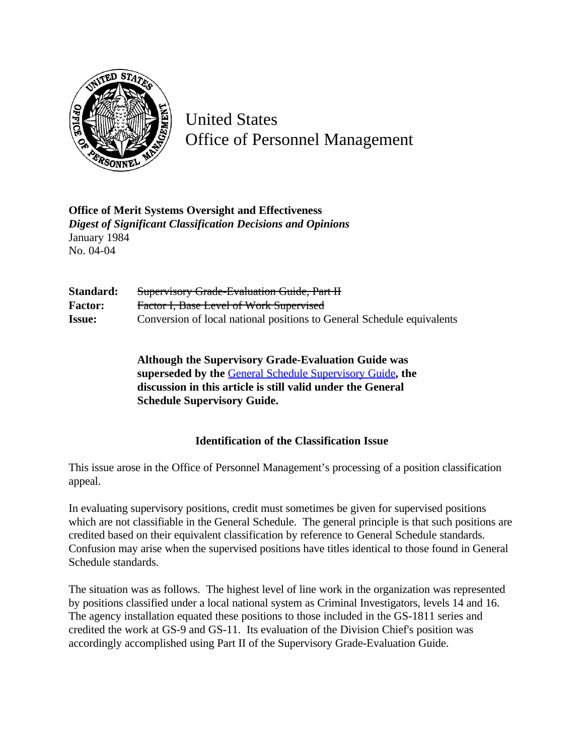

United States Office of Personnel Management

**Office of Merit Systems Oversight and Effectiveness** *Digest of Significant Classification Decisions and Opinions* January 1984 No. 04-04

Standard: Supervisory Grade-Evaluation Guide, Part II **Factor:** Factor I, Base Level of Work Supervised **Issue:** Conversion of local national positions to General Schedule equivalents

> **Although the Supervisory Grade-Evaluation Guide was superseded by the** [General Schedule Supervisory Guide](http://www.opm.gov/hr/fedclass/gssg.pdf)**, the discussion in this article is still valid under the General Schedule Supervisory Guide.**

## **Identification of the Classification Issue**

This issue arose in the Office of Personnel Management's processing of a position classification appeal.

In evaluating supervisory positions, credit must sometimes be given for supervised positions which are not classifiable in the General Schedule. The general principle is that such positions are credited based on their equivalent classification by reference to General Schedule standards. Confusion may arise when the supervised positions have titles identical to those found in General Schedule standards.

The situation was as follows. The highest level of line work in the organization was represented by positions classified under a local national system as Criminal Investigators, levels 14 and 16. The agency installation equated these positions to those included in the GS-1811 series and credited the work at GS-9 and GS-11. Its evaluation of the Division Chief's position was accordingly accomplished using Part II of the Supervisory Grade-Evaluation Guide.